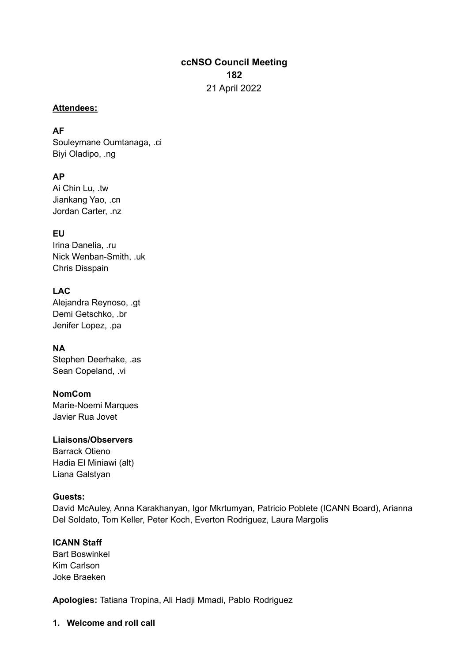# **ccNSO Council Meeting 182** 21 April 2022

#### **Attendees:**

#### **AF**

Souleymane Oumtanaga, .ci Biyi Oladipo, .ng

### **AP**

Ai Chin Lu, .tw Jiankang Yao, .cn Jordan Carter, .nz

**EU** Irina Danelia, .ru Nick Wenban-Smith, .uk Chris Disspain

### **LAC**

Alejandra Reynoso, .gt Demi Getschko, .br Jenifer Lopez, .pa

### **NA**

Stephen Deerhake, .as Sean Copeland, .vi

### **NomCom**

Marie-Noemi Marques Javier Rua Jovet

### **Liaisons/Observers**

Barrack Otieno Hadia El Miniawi (alt) Liana Galstyan

### **Guests:**

David McAuley, Anna Karakhanyan, Igor Mkrtumyan, Patricio Poblete (ICANN Board), Arianna Del Soldato, Tom Keller, Peter Koch, Everton Rodriguez, Laura Margolis

### **ICANN Staff**

Bart Boswinkel Kim Carlson Joke Braeken

**Apologies:** Tatiana Tropina, Ali Hadji Mmadi, Pablo Rodriguez

**1. Welcome and roll call**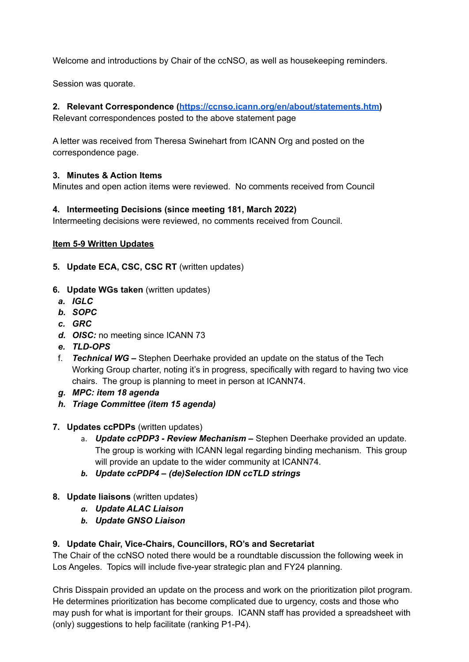Welcome and introductions by Chair of the ccNSO, as well as housekeeping reminders.

Session was quorate.

### **2. Relevant Correspondence (<https://ccnso.icann.org/en/about/statements.htm>)**

Relevant correspondences posted to the above statement page

A letter was received from Theresa Swinehart from ICANN Org and posted on the correspondence page.

### **3. Minutes & Action Items**

Minutes and open action items were reviewed. No comments received from Council

### **4. Intermeeting Decisions (since meeting 181, March 2022)**

Intermeeting decisions were reviewed, no comments received from Council.

### **Item 5-9 Written Updates**

- **5. Update ECA, CSC, CSC RT** (written updates)
- **6. Update WGs taken** (written updates)
- *a. IGLC*
- *b. SOPC*
- *c. GRC*
- *d. OISC:* no meeting since ICANN 73
- *e. TLD-OPS*
- f. *Technical WG –* Stephen Deerhake provided an update on the status of the Tech Working Group charter, noting it's in progress, specifically with regard to having two vice chairs. The group is planning to meet in person at ICANN74.
- *g. MPC: item 18 agenda*
- *h. Triage Committee (item 15 agenda)*
- **7. Updates ccPDPs** (written updates)
	- a. *Update ccPDP3 - Review Mechanism –* Stephen Deerhake provided an update. The group is working with ICANN legal regarding binding mechanism. This group will provide an update to the wider community at ICANN74.
	- *b. Update ccPDP4 – (de)Selection IDN ccTLD strings*
- **8. Update liaisons** (written updates)
	- *a. Update ALAC Liaison*
	- *b. Update GNSO Liaison*

### **9. Update Chair, Vice-Chairs, Councillors, RO's and Secretariat**

The Chair of the ccNSO noted there would be a roundtable discussion the following week in Los Angeles. Topics will include five-year strategic plan and FY24 planning.

Chris Disspain provided an update on the process and work on the prioritization pilot program. He determines prioritization has become complicated due to urgency, costs and those who may push for what is important for their groups. ICANN staff has provided a spreadsheet with (only) suggestions to help facilitate (ranking P1-P4).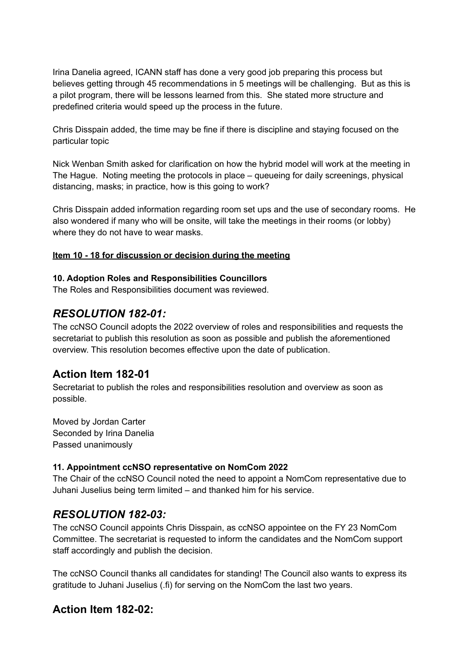Irina Danelia agreed, ICANN staff has done a very good job preparing this process but believes getting through 45 recommendations in 5 meetings will be challenging. But as this is a pilot program, there will be lessons learned from this. She stated more structure and predefined criteria would speed up the process in the future.

Chris Disspain added, the time may be fine if there is discipline and staying focused on the particular topic

Nick Wenban Smith asked for clarification on how the hybrid model will work at the meeting in The Hague. Noting meeting the protocols in place – queueing for daily screenings, physical distancing, masks; in practice, how is this going to work?

Chris Disspain added information regarding room set ups and the use of secondary rooms. He also wondered if many who will be onsite, will take the meetings in their rooms (or lobby) where they do not have to wear masks.

#### **Item 10 - 18 for discussion or decision during the meeting**

#### **10. Adoption Roles and Responsibilities Councillors**

The Roles and Responsibilities document was reviewed.

# *RESOLUTION 182-01:*

The ccNSO Council adopts the 2022 overview of roles and responsibilities and requests the secretariat to publish this resolution as soon as possible and publish the aforementioned overview. This resolution becomes effective upon the date of publication.

# **Action Item 182-01**

Secretariat to publish the roles and responsibilities resolution and overview as soon as possible.

Moved by Jordan Carter Seconded by Irina Danelia Passed unanimously

### **11. Appointment ccNSO representative on NomCom 2022**

The Chair of the ccNSO Council noted the need to appoint a NomCom representative due to Juhani Juselius being term limited – and thanked him for his service.

# *RESOLUTION 182-03:*

The ccNSO Council appoints Chris Disspain, as ccNSO appointee on the FY 23 NomCom Committee. The secretariat is requested to inform the candidates and the NomCom support staff accordingly and publish the decision.

The ccNSO Council thanks all candidates for standing! The Council also wants to express its gratitude to Juhani Juselius (.fi) for serving on the NomCom the last two years.

# **Action Item 182-02:**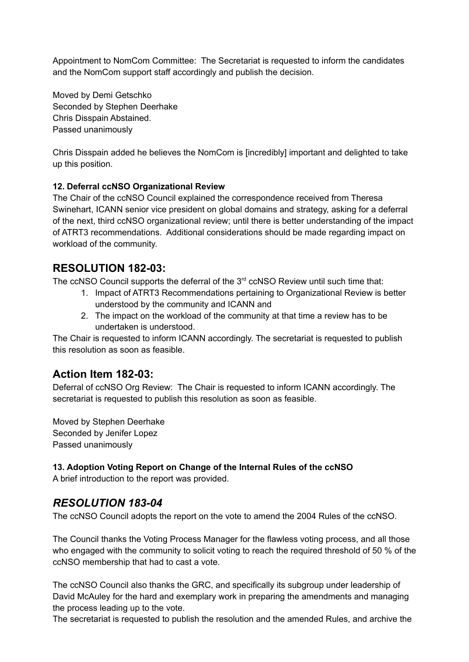Appointment to NomCom Committee: The Secretariat is requested to inform the candidates and the NomCom support staff accordingly and publish the decision.

Moved by Demi Getschko Seconded by Stephen Deerhake Chris Disspain Abstained. Passed unanimously

Chris Disspain added he believes the NomCom is [incredibly] important and delighted to take up this position.

### **12. Deferral ccNSO Organizational Review**

The Chair of the ccNSO Council explained the correspondence received from Theresa Swinehart, ICANN senior vice president on global domains and strategy, asking for a deferral of the next, third ccNSO organizational review; until there is better understanding of the impact of ATRT3 recommendations. Additional considerations should be made regarding impact on workload of the community.

### **RESOLUTION 182-03:**

The ccNSO Council supports the deferral of the  $3<sup>rd</sup>$  ccNSO Review until such time that:

- 1. Impact of ATRT3 Recommendations pertaining to Organizational Review is better understood by the community and ICANN and
- 2. The impact on the workload of the community at that time a review has to be undertaken is understood.

The Chair is requested to inform ICANN accordingly. The secretariat is requested to publish this resolution as soon as feasible.

# **Action Item 182-03:**

Deferral of ccNSO Org Review: The Chair is requested to inform ICANN accordingly. The secretariat is requested to publish this resolution as soon as feasible.

Moved by Stephen Deerhake Seconded by Jenifer Lopez Passed unanimously

### **13. Adoption Voting Report on Change of the Internal Rules of the ccNSO**

A brief introduction to the report was provided.

# *RESOLUTION 183-04*

The ccNSO Council adopts the report on the vote to amend the 2004 Rules of the ccNSO.

The Council thanks the Voting Process Manager for the flawless voting process, and all those who engaged with the community to solicit voting to reach the required threshold of 50 % of the ccNSO membership that had to cast a vote.

The ccNSO Council also thanks the GRC, and specifically its subgroup under leadership of David McAuley for the hard and exemplary work in preparing the amendments and managing the process leading up to the vote.

The secretariat is requested to publish the resolution and the amended Rules, and archive the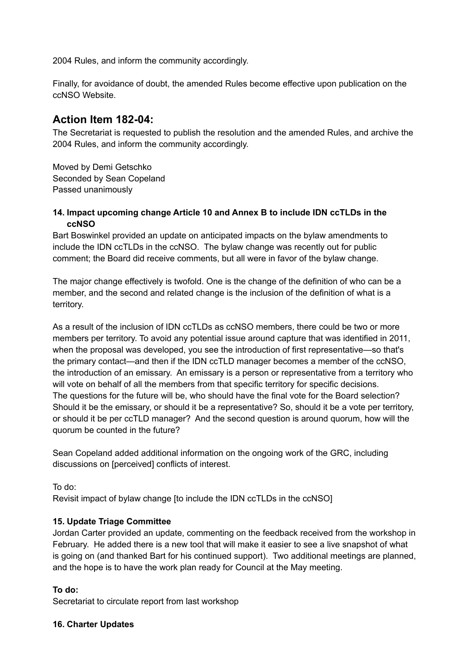2004 Rules, and inform the community accordingly.

Finally, for avoidance of doubt, the amended Rules become effective upon publication on the ccNSO Website.

# **Action Item 182-04:**

The Secretariat is requested to publish the resolution and the amended Rules, and archive the 2004 Rules, and inform the community accordingly.

Moved by Demi Getschko Seconded by Sean Copeland Passed unanimously

#### **14. Impact upcoming change Article 10 and Annex B to include IDN ccTLDs in the ccNSO**

Bart Boswinkel provided an update on anticipated impacts on the bylaw amendments to include the IDN ccTLDs in the ccNSO. The bylaw change was recently out for public comment; the Board did receive comments, but all were in favor of the bylaw change.

The major change effectively is twofold. One is the change of the definition of who can be a member, and the second and related change is the inclusion of the definition of what is a territory.

As a result of the inclusion of IDN ccTLDs as ccNSO members, there could be two or more members per territory. To avoid any potential issue around capture that was identified in 2011, when the proposal was developed, you see the introduction of first representative—so that's the primary contact—and then if the IDN ccTLD manager becomes a member of the ccNSO, the introduction of an emissary. An emissary is a person or representative from a territory who will vote on behalf of all the members from that specific territory for specific decisions. The questions for the future will be, who should have the final vote for the Board selection? Should it be the emissary, or should it be a representative? So, should it be a vote per territory, or should it be per ccTLD manager? And the second question is around quorum, how will the quorum be counted in the future?

Sean Copeland added additional information on the ongoing work of the GRC, including discussions on [perceived] conflicts of interest.

To do: Revisit impact of bylaw change [to include the IDN ccTLDs in the ccNSO]

### **15. Update Triage Committee**

Jordan Carter provided an update, commenting on the feedback received from the workshop in February. He added there is a new tool that will make it easier to see a live snapshot of what is going on (and thanked Bart for his continued support). Two additional meetings are planned, and the hope is to have the work plan ready for Council at the May meeting.

### **To do:**

Secretariat to circulate report from last workshop

#### **16. Charter Updates**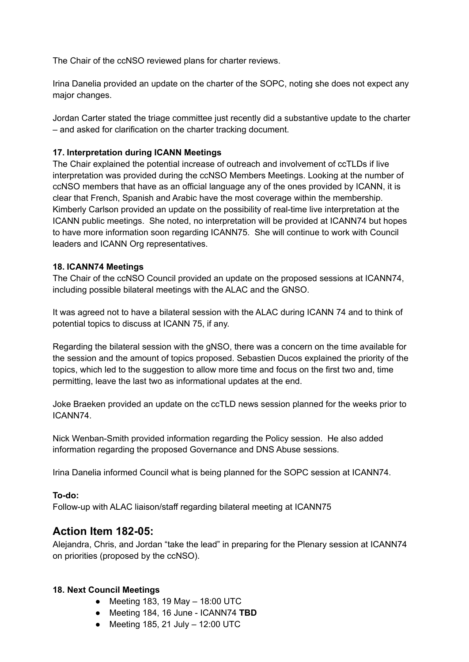The Chair of the ccNSO reviewed plans for charter reviews.

Irina Danelia provided an update on the charter of the SOPC, noting she does not expect any major changes.

Jordan Carter stated the triage committee just recently did a substantive update to the charter – and asked for clarification on the charter tracking document.

#### **17. Interpretation during ICANN Meetings**

The Chair explained the potential increase of outreach and involvement of ccTLDs if live interpretation was provided during the ccNSO Members Meetings. Looking at the number of ccNSO members that have as an official language any of the ones provided by ICANN, it is clear that French, Spanish and Arabic have the most coverage within the membership. Kimberly Carlson provided an update on the possibility of real-time live interpretation at the ICANN public meetings. She noted, no interpretation will be provided at ICANN74 but hopes to have more information soon regarding ICANN75. She will continue to work with Council leaders and ICANN Org representatives.

#### **18. ICANN74 Meetings**

The Chair of the ccNSO Council provided an update on the proposed sessions at ICANN74, including possible bilateral meetings with the ALAC and the GNSO.

It was agreed not to have a bilateral session with the ALAC during ICANN 74 and to think of potential topics to discuss at ICANN 75, if any.

Regarding the bilateral session with the gNSO, there was a concern on the time available for the session and the amount of topics proposed. Sebastien Ducos explained the priority of the topics, which led to the suggestion to allow more time and focus on the first two and, time permitting, leave the last two as informational updates at the end.

Joke Braeken provided an update on the ccTLD news session planned for the weeks prior to ICANN74.

Nick Wenban-Smith provided information regarding the Policy session. He also added information regarding the proposed Governance and DNS Abuse sessions.

Irina Danelia informed Council what is being planned for the SOPC session at ICANN74.

### **To-do:**

Follow-up with ALAC liaison/staff regarding bilateral meeting at ICANN75

### **Action Item 182-05:**

Alejandra, Chris, and Jordan "take the lead" in preparing for the Plenary session at ICANN74 on priorities (proposed by the ccNSO).

### **18. Next Council Meetings**

- $\bullet$  Meeting 183, 19 May  $-$  18:00 UTC
- Meeting 184, 16 June ICANN74 **TBD**
- $\bullet$  Meeting 185, 21 July 12:00 UTC